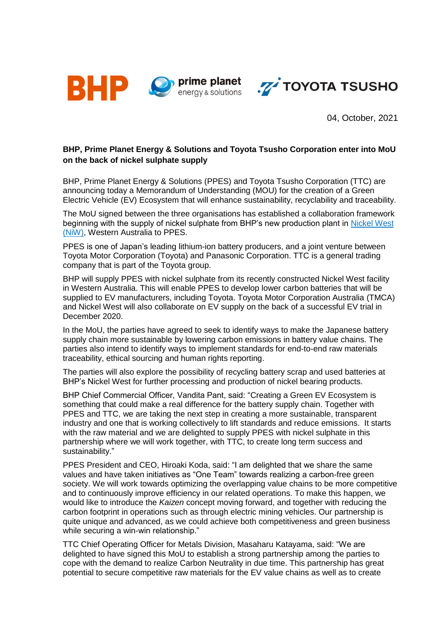



04, October, 2021

## **BHP, Prime Planet Energy & Solutions and Toyota Tsusho Corporation enter into MoU on the back of nickel sulphate supply**

BHP, Prime Planet Energy & Solutions (PPES) and Toyota Tsusho Corporation (TTC) are announcing today a Memorandum of Understanding (MOU) for the creation of a Green Electric Vehicle (EV) Ecosystem that will enhance sustainability, recyclability and traceability.

The MoU signed between the three organisations has established a collaboration framework beginning with the supply of nickel sulphate from BHP's new production plant in [Nickel West](https://www.bhp.com/what-we-do/global-locations/australia/western-australia/nickel-west)  [\(NiW\),](https://www.bhp.com/what-we-do/global-locations/australia/western-australia/nickel-west) Western Australia to PPES.

PPES is one of Japan's leading lithium-ion battery producers, and a joint venture between Toyota Motor Corporation (Toyota) and Panasonic Corporation. TTC is a general trading company that is part of the Toyota group.

BHP will supply PPES with nickel sulphate from its recently constructed Nickel West facility in Western Australia. This will enable PPES to develop lower carbon batteries that will be supplied to EV manufacturers, including Toyota. Toyota Motor Corporation Australia (TMCA) and Nickel West will also collaborate on EV supply on the back of a successful EV trial in December 2020.

In the MoU, the parties have agreed to seek to identify ways to make the Japanese battery supply chain more sustainable by lowering carbon emissions in battery value chains. The parties also intend to identify ways to implement standards for end-to-end raw materials traceability, ethical sourcing and human rights reporting.

The parties will also explore the possibility of recycling battery scrap and used batteries at BHP's Nickel West for further processing and production of nickel bearing products.

BHP Chief Commercial Officer, Vandita Pant, said: "Creating a Green EV Ecosystem is something that could make a real difference for the battery supply chain. Together with PPES and TTC, we are taking the next step in creating a more sustainable, transparent industry and one that is working collectively to lift standards and reduce emissions. It starts with the raw material and we are delighted to supply PPES with nickel sulphate in this partnership where we will work together, with TTC, to create long term success and sustainability."

PPES President and CEO, Hiroaki Koda, said: "I am delighted that we share the same values and have taken initiatives as "One Team" towards realizing a carbon-free green society. We will work towards optimizing the overlapping value chains to be more competitive and to continuously improve efficiency in our related operations. To make this happen, we would like to introduce the *Kaizen* concept moving forward, and together with reducing the carbon footprint in operations such as through electric mining vehicles. Our partnership is quite unique and advanced, as we could achieve both competitiveness and green business while securing a win-win relationship."

TTC Chief Operating Officer for Metals Division, Masaharu Katayama, said: "We are delighted to have signed this MoU to establish a strong partnership among the parties to cope with the demand to realize Carbon Neutrality in due time. This partnership has great potential to secure competitive raw materials for the EV value chains as well as to create